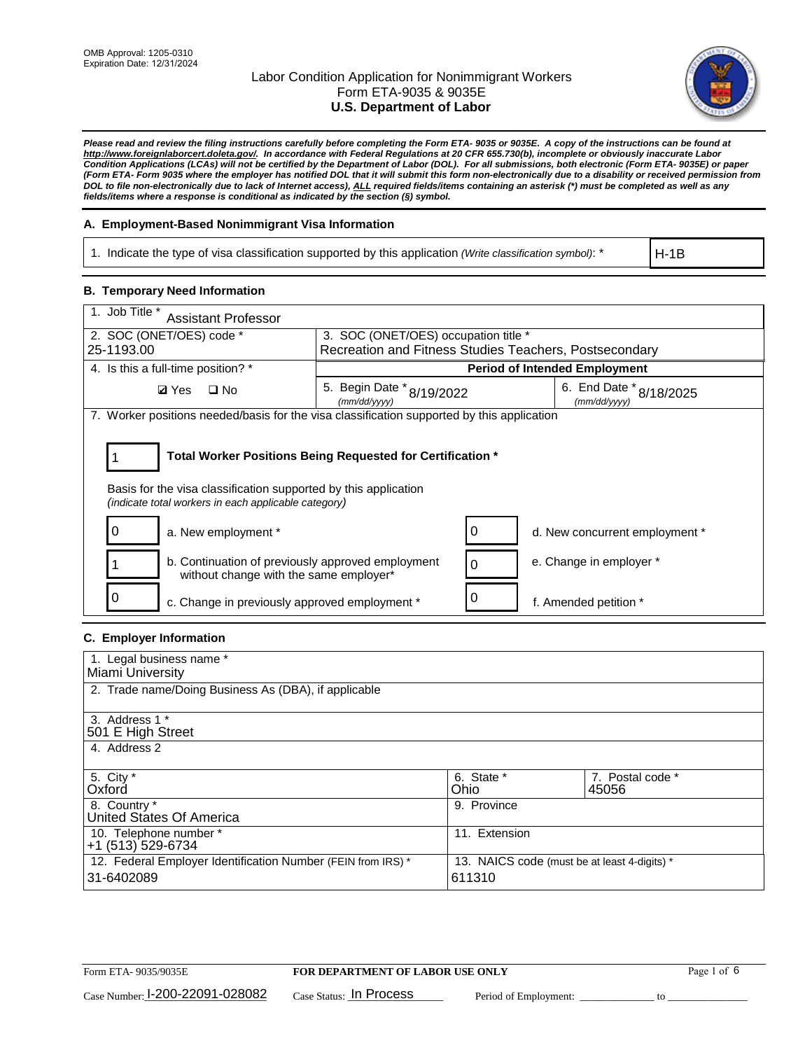

*Please read and review the filing instructions carefully before completing the Form ETA- 9035 or 9035E. A copy of the instructions can be found at [http://www.foreignlaborcert.doleta.gov/.](http://www.foreignlaborcert.doleta.gov/) In accordance with Federal Regulations at 20 CFR 655.730(b), incomplete or obviously inaccurate Labor Condition Applications (LCAs) will not be certified by the Department of Labor (DOL). For all submissions, both electronic (Form ETA- 9035E) or paper (Form ETA- Form 9035 where the employer has notified DOL that it will submit this form non-electronically due to a disability or received permission from DOL to file non-electronically due to lack of Internet access), ALL required fields/items containing an asterisk (\*) must be completed as well as any fields/items where a response is conditional as indicated by the section (§) symbol.* 

### **A. Employment-Based Nonimmigrant Visa Information**

1. Indicate the type of visa classification supported by this application *(Write classification symbol)*: \*

H-1B

#### **B. Temporary Need Information**

| 1. Job Title *<br><b>Assistant Professor</b>                                                                                                                                          |                                                        |   |                                         |  |
|---------------------------------------------------------------------------------------------------------------------------------------------------------------------------------------|--------------------------------------------------------|---|-----------------------------------------|--|
| 2. SOC (ONET/OES) code *                                                                                                                                                              | 3. SOC (ONET/OES) occupation title *                   |   |                                         |  |
| 25-1193.00                                                                                                                                                                            | Recreation and Fitness Studies Teachers, Postsecondary |   |                                         |  |
| 4. Is this a full-time position? *                                                                                                                                                    |                                                        |   | <b>Period of Intended Employment</b>    |  |
| <b>Ø</b> Yes<br>$\square$ No                                                                                                                                                          | 5. Begin Date $*_{8/19/2022}$<br>(mm/dd/yyyy)          |   | 6. End Date * 8/18/2025<br>(mm/dd/yyyy) |  |
| 7. Worker positions needed/basis for the visa classification supported by this application                                                                                            |                                                        |   |                                         |  |
| Total Worker Positions Being Requested for Certification *<br>Basis for the visa classification supported by this application<br>(indicate total workers in each applicable category) |                                                        |   |                                         |  |
| a. New employment *                                                                                                                                                                   |                                                        |   | d. New concurrent employment *          |  |
| b. Continuation of previously approved employment<br>without change with the same employer*                                                                                           |                                                        |   | e. Change in employer *                 |  |
| c. Change in previously approved employment *                                                                                                                                         |                                                        | 0 | f. Amended petition *                   |  |

# **C. Employer Information**

| 1. Legal business name *                                                   |                                                        |                           |
|----------------------------------------------------------------------------|--------------------------------------------------------|---------------------------|
| Miami University                                                           |                                                        |                           |
| 2. Trade name/Doing Business As (DBA), if applicable                       |                                                        |                           |
| 3. Address 1 *<br>501 E High Street<br>4. Address 2                        |                                                        |                           |
| 5. City *<br>Oxford                                                        | 6. State *<br>Ohio                                     | 7. Postal code *<br>45056 |
| 8. Country *<br>United States Of America                                   | 9. Province                                            |                           |
| 10. Telephone number *<br>+1 (513) 529-6734                                | 11. Extension                                          |                           |
| 12. Federal Employer Identification Number (FEIN from IRS) *<br>31-6402089 | 13. NAICS code (must be at least 4-digits) *<br>611310 |                           |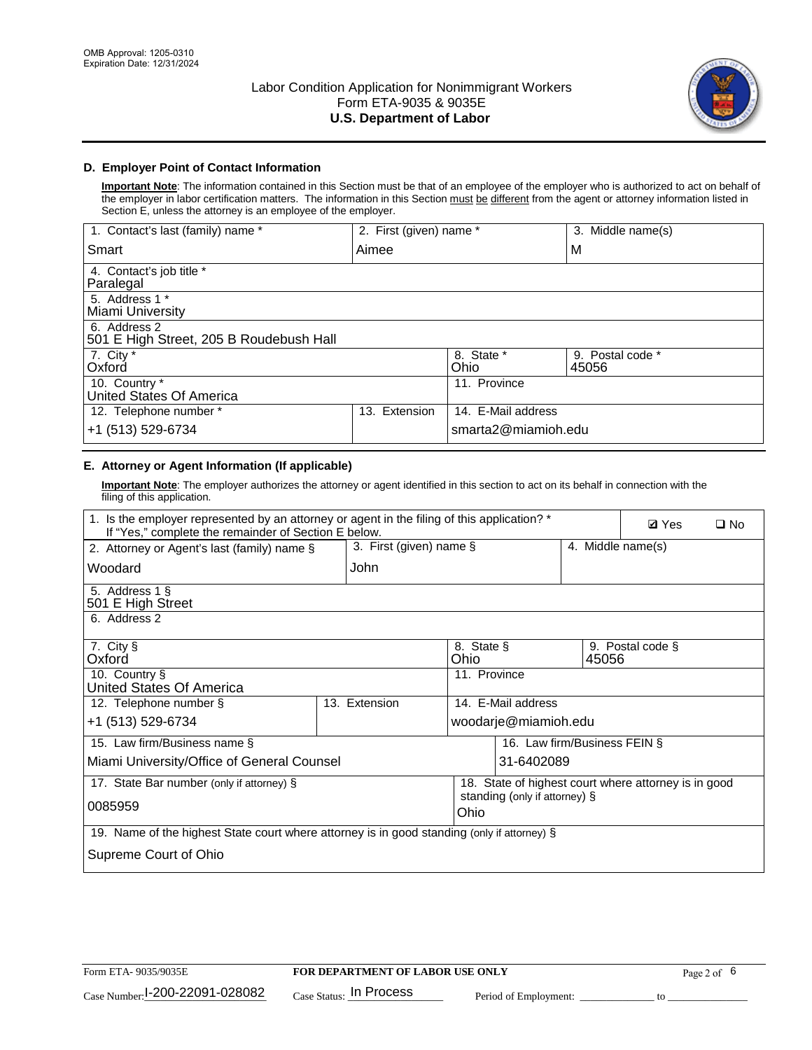

# **D. Employer Point of Contact Information**

**Important Note**: The information contained in this Section must be that of an employee of the employer who is authorized to act on behalf of the employer in labor certification matters. The information in this Section must be different from the agent or attorney information listed in Section E, unless the attorney is an employee of the employer.

| 1. Contact's last (family) name *                       | 2. First (given) name * |                     | 3. Middle name(s)         |
|---------------------------------------------------------|-------------------------|---------------------|---------------------------|
| Smart                                                   | Aimee                   |                     | M                         |
| 4. Contact's job title *<br>Paralegal                   |                         |                     |                           |
| 5. Address 1 *<br>Miami University                      |                         |                     |                           |
| 6. Address 2<br>501 E High Street, 205 B Roudebush Hall |                         |                     |                           |
| 7. City *<br>Oxford                                     |                         | 8. State *<br>Ohio  | 9. Postal code *<br>45056 |
| 10. Country *<br>United States Of America               |                         | 11. Province        |                           |
| 12. Telephone number *                                  | Extension<br>13.        | 14. E-Mail address  |                           |
| +1 (513) 529-6734                                       |                         | smarta2@miamioh.edu |                           |

# **E. Attorney or Agent Information (If applicable)**

**Important Note**: The employer authorizes the attorney or agent identified in this section to act on its behalf in connection with the filing of this application.

| 1. Is the employer represented by an attorney or agent in the filing of this application? *<br>If "Yes," complete the remainder of Section E below. |                                              |                    |                                                      |       | <b>Ø</b> Yes     | $\Box$ No |
|-----------------------------------------------------------------------------------------------------------------------------------------------------|----------------------------------------------|--------------------|------------------------------------------------------|-------|------------------|-----------|
| 2. Attorney or Agent's last (family) name §                                                                                                         | 3. First (given) name §<br>4. Middle name(s) |                    |                                                      |       |                  |           |
| Woodard                                                                                                                                             | John                                         |                    |                                                      |       |                  |           |
| 5. Address 1 §<br>501 E High Street                                                                                                                 |                                              |                    |                                                      |       |                  |           |
| 6. Address 2                                                                                                                                        |                                              |                    |                                                      |       |                  |           |
| 7. City §<br>Oxford                                                                                                                                 |                                              | 8. State §<br>Ohio |                                                      | 45056 | 9. Postal code § |           |
| 10. Country §<br>United States Of America                                                                                                           |                                              | 11. Province       |                                                      |       |                  |           |
| 12. Telephone number §                                                                                                                              | 13. Extension                                |                    | 14. E-Mail address                                   |       |                  |           |
| +1 (513) 529-6734                                                                                                                                   |                                              |                    | woodarje@miamioh.edu                                 |       |                  |           |
| 15. Law firm/Business name §                                                                                                                        |                                              |                    | 16. Law firm/Business FEIN §                         |       |                  |           |
| Miami University/Office of General Counsel                                                                                                          |                                              |                    | 31-6402089                                           |       |                  |           |
| 17. State Bar number (only if attorney) §                                                                                                           |                                              |                    | 18. State of highest court where attorney is in good |       |                  |           |
| 0085959                                                                                                                                             |                                              | Ohio               | standing (only if attorney) §                        |       |                  |           |
| 19. Name of the highest State court where attorney is in good standing (only if attorney) §                                                         |                                              |                    |                                                      |       |                  |           |
| Supreme Court of Ohio                                                                                                                               |                                              |                    |                                                      |       |                  |           |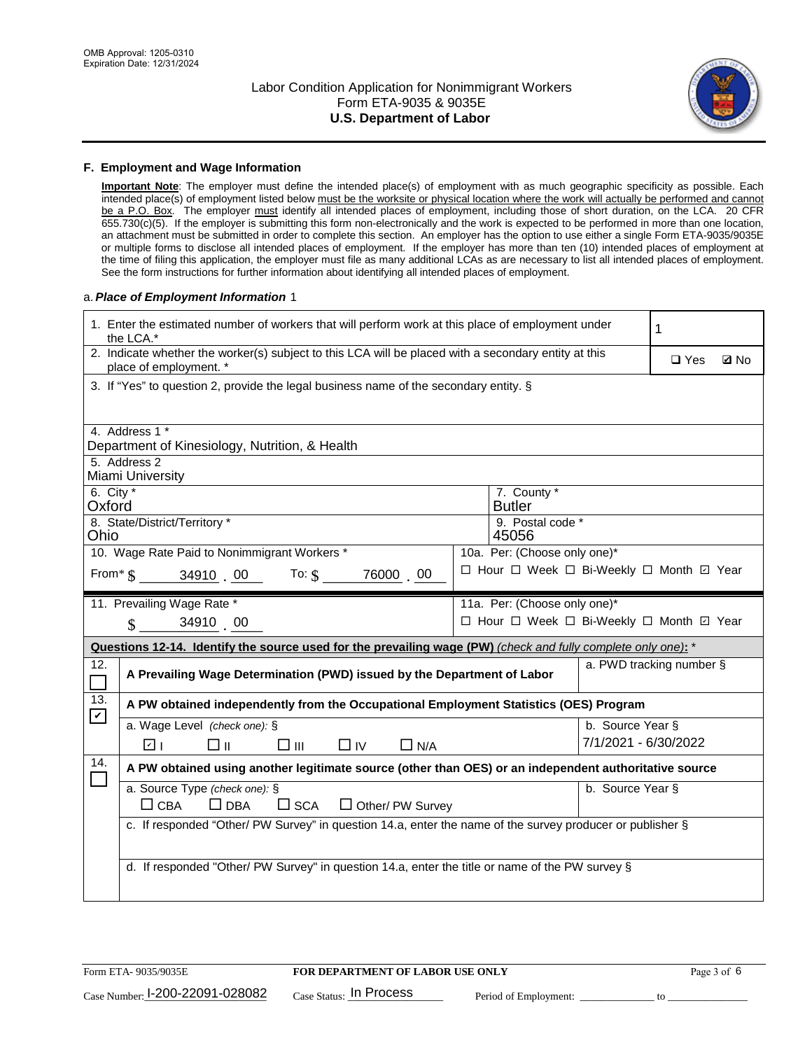

#### **F. Employment and Wage Information**

**Important Note**: The employer must define the intended place(s) of employment with as much geographic specificity as possible. Each intended place(s) of employment listed below must be the worksite or physical location where the work will actually be performed and cannot be a P.O. Box. The employer must identify all intended places of employment, including those of short duration, on the LCA. 20 CFR 655.730(c)(5). If the employer is submitting this form non-electronically and the work is expected to be performed in more than one location, an attachment must be submitted in order to complete this section. An employer has the option to use either a single Form ETA-9035/9035E or multiple forms to disclose all intended places of employment. If the employer has more than ten (10) intended places of employment at the time of filing this application, the employer must file as many additional LCAs as are necessary to list all intended places of employment. See the form instructions for further information about identifying all intended places of employment.

#### a.*Place of Employment Information* 1

|                                                                                                               | 1. Enter the estimated number of workers that will perform work at this place of employment under<br>the LCA.*                 |  |                              |                      |                                          |  |  |
|---------------------------------------------------------------------------------------------------------------|--------------------------------------------------------------------------------------------------------------------------------|--|------------------------------|----------------------|------------------------------------------|--|--|
|                                                                                                               | 2. Indicate whether the worker(s) subject to this LCA will be placed with a secondary entity at this<br>place of employment. * |  |                              |                      | $\Box$ Yes<br><b>Z</b> No                |  |  |
|                                                                                                               | 3. If "Yes" to question 2, provide the legal business name of the secondary entity. §                                          |  |                              |                      |                                          |  |  |
|                                                                                                               | 4. Address 1 *                                                                                                                 |  |                              |                      |                                          |  |  |
|                                                                                                               | Department of Kinesiology, Nutrition, & Health<br>5. Address 2                                                                 |  |                              |                      |                                          |  |  |
|                                                                                                               | Miami University                                                                                                               |  |                              |                      |                                          |  |  |
| 6. City $*$<br>Oxford                                                                                         |                                                                                                                                |  | 7. County *<br><b>Butler</b> |                      |                                          |  |  |
| Ohio                                                                                                          | 8. State/District/Territory *                                                                                                  |  | 9. Postal code *<br>45056    |                      |                                          |  |  |
|                                                                                                               | 10. Wage Rate Paid to Nonimmigrant Workers *                                                                                   |  | 10a. Per: (Choose only one)* |                      |                                          |  |  |
|                                                                                                               | From $\frac{1}{2}$ 34910 . 00 To: $\frac{1}{2}$<br>76000 00                                                                    |  |                              |                      | □ Hour □ Week □ Bi-Weekly □ Month ☑ Year |  |  |
|                                                                                                               | 11. Prevailing Wage Rate *                                                                                                     |  | 11a. Per: (Choose only one)* |                      |                                          |  |  |
|                                                                                                               | 34910 00<br>$\mathcal{S}$                                                                                                      |  |                              |                      | □ Hour □ Week □ Bi-Weekly □ Month 回 Year |  |  |
| Questions 12-14. Identify the source used for the prevailing wage (PW) (check and fully complete only one): * |                                                                                                                                |  |                              |                      |                                          |  |  |
|                                                                                                               |                                                                                                                                |  |                              |                      |                                          |  |  |
| 12.<br>П                                                                                                      | A Prevailing Wage Determination (PWD) issued by the Department of Labor                                                        |  |                              |                      | a. PWD tracking number §                 |  |  |
| 13.                                                                                                           | A PW obtained independently from the Occupational Employment Statistics (OES) Program                                          |  |                              |                      |                                          |  |  |
| $\mathbf v$                                                                                                   | a. Wage Level (check one): §                                                                                                   |  |                              | b. Source Year §     |                                          |  |  |
|                                                                                                               | ☑ ।<br>□⊪<br>□⊪<br>$\Box$ IV<br>$\Box$ N/A                                                                                     |  |                              | 7/1/2021 - 6/30/2022 |                                          |  |  |
| 14.                                                                                                           | A PW obtained using another legitimate source (other than OES) or an independent authoritative source                          |  |                              |                      |                                          |  |  |
|                                                                                                               | a. Source Type (check one): §                                                                                                  |  |                              | b. Source Year §     |                                          |  |  |
|                                                                                                               | $\Box$ CBA<br>$\Box$ DBA<br>$\square$ SCA<br>$\Box$ Other/ PW Survey                                                           |  |                              |                      |                                          |  |  |
|                                                                                                               | c. If responded "Other/ PW Survey" in question 14.a, enter the name of the survey producer or publisher §                      |  |                              |                      |                                          |  |  |
|                                                                                                               |                                                                                                                                |  |                              |                      |                                          |  |  |
|                                                                                                               | d. If responded "Other/ PW Survey" in question 14.a, enter the title or name of the PW survey §                                |  |                              |                      |                                          |  |  |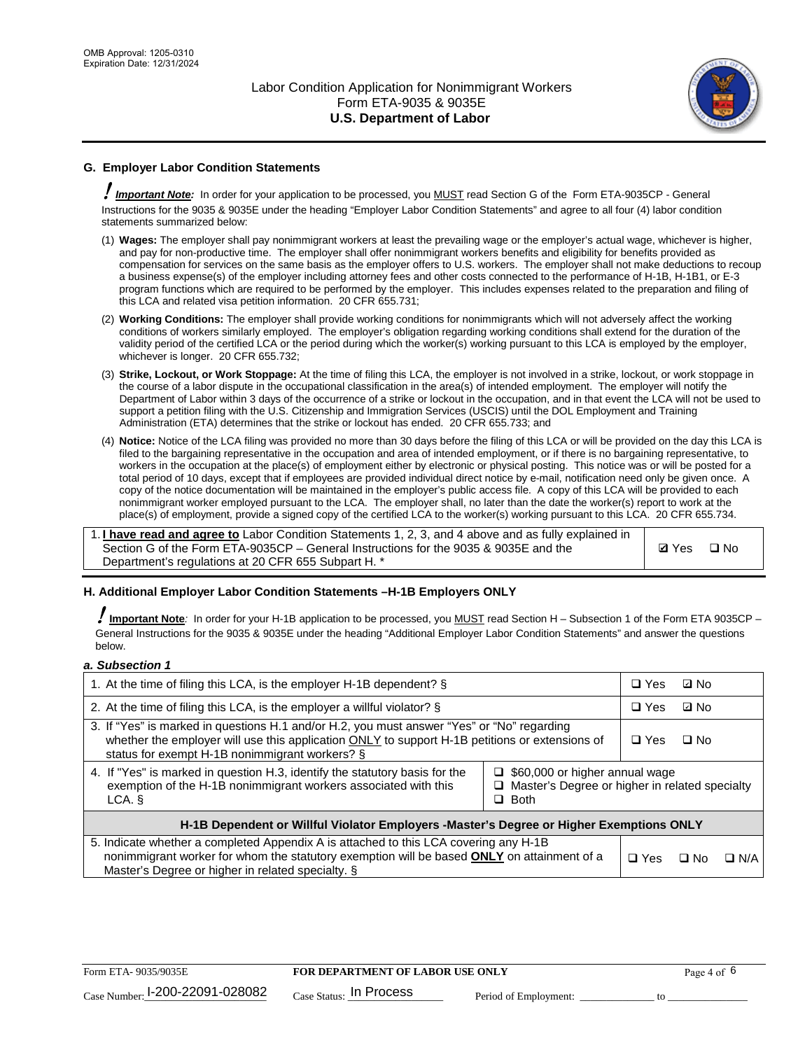

# **G. Employer Labor Condition Statements**

! *Important Note:* In order for your application to be processed, you MUST read Section G of the Form ETA-9035CP - General Instructions for the 9035 & 9035E under the heading "Employer Labor Condition Statements" and agree to all four (4) labor condition statements summarized below:

- (1) **Wages:** The employer shall pay nonimmigrant workers at least the prevailing wage or the employer's actual wage, whichever is higher, and pay for non-productive time. The employer shall offer nonimmigrant workers benefits and eligibility for benefits provided as compensation for services on the same basis as the employer offers to U.S. workers. The employer shall not make deductions to recoup a business expense(s) of the employer including attorney fees and other costs connected to the performance of H-1B, H-1B1, or E-3 program functions which are required to be performed by the employer. This includes expenses related to the preparation and filing of this LCA and related visa petition information. 20 CFR 655.731;
- (2) **Working Conditions:** The employer shall provide working conditions for nonimmigrants which will not adversely affect the working conditions of workers similarly employed. The employer's obligation regarding working conditions shall extend for the duration of the validity period of the certified LCA or the period during which the worker(s) working pursuant to this LCA is employed by the employer, whichever is longer. 20 CFR 655.732;
- (3) **Strike, Lockout, or Work Stoppage:** At the time of filing this LCA, the employer is not involved in a strike, lockout, or work stoppage in the course of a labor dispute in the occupational classification in the area(s) of intended employment. The employer will notify the Department of Labor within 3 days of the occurrence of a strike or lockout in the occupation, and in that event the LCA will not be used to support a petition filing with the U.S. Citizenship and Immigration Services (USCIS) until the DOL Employment and Training Administration (ETA) determines that the strike or lockout has ended. 20 CFR 655.733; and
- (4) **Notice:** Notice of the LCA filing was provided no more than 30 days before the filing of this LCA or will be provided on the day this LCA is filed to the bargaining representative in the occupation and area of intended employment, or if there is no bargaining representative, to workers in the occupation at the place(s) of employment either by electronic or physical posting. This notice was or will be posted for a total period of 10 days, except that if employees are provided individual direct notice by e-mail, notification need only be given once. A copy of the notice documentation will be maintained in the employer's public access file. A copy of this LCA will be provided to each nonimmigrant worker employed pursuant to the LCA. The employer shall, no later than the date the worker(s) report to work at the place(s) of employment, provide a signed copy of the certified LCA to the worker(s) working pursuant to this LCA. 20 CFR 655.734.

1. **I have read and agree to** Labor Condition Statements 1, 2, 3, and 4 above and as fully explained in Section G of the Form ETA-9035CP – General Instructions for the 9035 & 9035E and the Department's regulations at 20 CFR 655 Subpart H. \*

**Ø**Yes ロNo

### **H. Additional Employer Labor Condition Statements –H-1B Employers ONLY**

!**Important Note***:* In order for your H-1B application to be processed, you MUST read Section H – Subsection 1 of the Form ETA 9035CP – General Instructions for the 9035 & 9035E under the heading "Additional Employer Labor Condition Statements" and answer the questions below.

#### *a. Subsection 1*

| 1. At the time of filing this LCA, is the employer H-1B dependent? §                                                                                                                                                                                               |  |            | ⊡ No |            |
|--------------------------------------------------------------------------------------------------------------------------------------------------------------------------------------------------------------------------------------------------------------------|--|------------|------|------------|
| 2. At the time of filing this LCA, is the employer a willful violator? $\S$                                                                                                                                                                                        |  |            | ⊡ No |            |
| 3. If "Yes" is marked in questions H.1 and/or H.2, you must answer "Yes" or "No" regarding<br>whether the employer will use this application ONLY to support H-1B petitions or extensions of<br>status for exempt H-1B nonimmigrant workers? §                     |  |            | ∩ No |            |
| 4. If "Yes" is marked in question H.3, identify the statutory basis for the<br>$\Box$ \$60,000 or higher annual wage<br>exemption of the H-1B nonimmigrant workers associated with this<br>□ Master's Degree or higher in related specialty<br>$\Box$ Both<br>LCA. |  |            |      |            |
| H-1B Dependent or Willful Violator Employers -Master's Degree or Higher Exemptions ONLY                                                                                                                                                                            |  |            |      |            |
| 5. Indicate whether a completed Appendix A is attached to this LCA covering any H-1B<br>nonimmigrant worker for whom the statutory exemption will be based <b>ONLY</b> on attainment of a<br>Master's Degree or higher in related specialty. §                     |  | $\Box$ Yes | ⊡ No | $\Box$ N/A |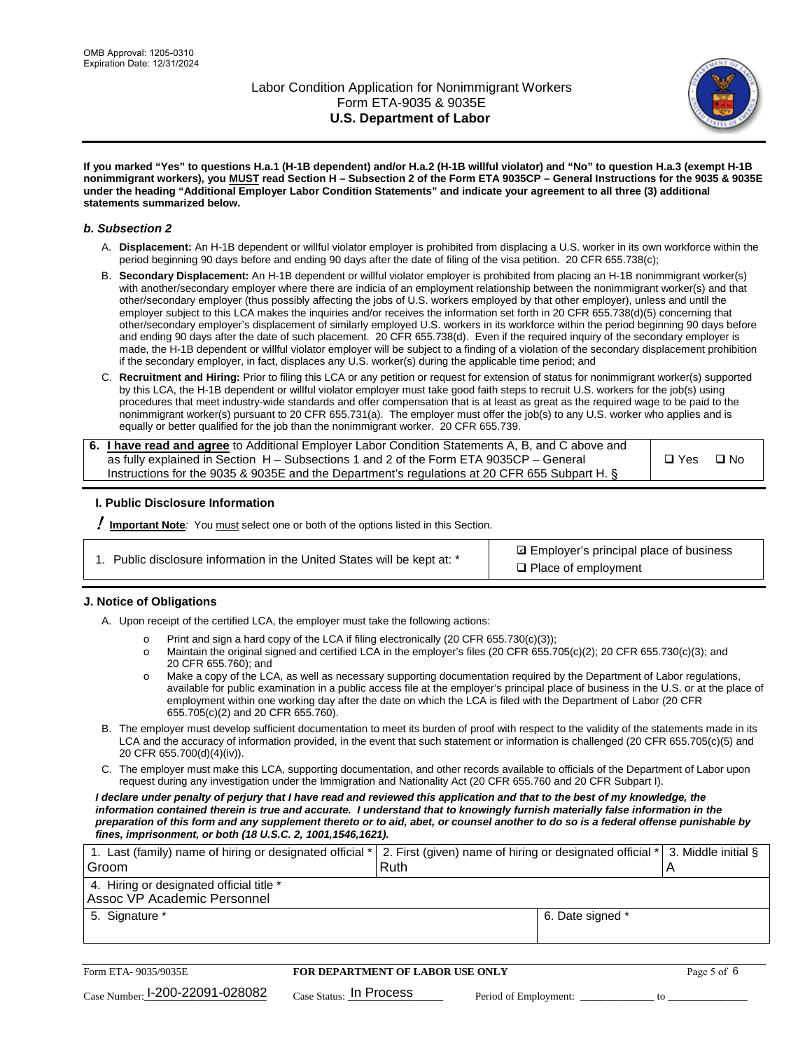

**If you marked "Yes" to questions H.a.1 (H-1B dependent) and/or H.a.2 (H-1B willful violator) and "No" to question H.a.3 (exempt H-1B nonimmigrant workers), you MUST read Section H – Subsection 2 of the Form ETA 9035CP – General Instructions for the 9035 & 9035E under the heading "Additional Employer Labor Condition Statements" and indicate your agreement to all three (3) additional statements summarized below.**

#### *b. Subsection 2*

- A. **Displacement:** An H-1B dependent or willful violator employer is prohibited from displacing a U.S. worker in its own workforce within the period beginning 90 days before and ending 90 days after the date of filing of the visa petition. 20 CFR 655.738(c);
- B. **Secondary Displacement:** An H-1B dependent or willful violator employer is prohibited from placing an H-1B nonimmigrant worker(s) with another/secondary employer where there are indicia of an employment relationship between the nonimmigrant worker(s) and that other/secondary employer (thus possibly affecting the jobs of U.S. workers employed by that other employer), unless and until the employer subject to this LCA makes the inquiries and/or receives the information set forth in 20 CFR 655.738(d)(5) concerning that other/secondary employer's displacement of similarly employed U.S. workers in its workforce within the period beginning 90 days before and ending 90 days after the date of such placement. 20 CFR 655.738(d). Even if the required inquiry of the secondary employer is made, the H-1B dependent or willful violator employer will be subject to a finding of a violation of the secondary displacement prohibition if the secondary employer, in fact, displaces any U.S. worker(s) during the applicable time period; and
- C. **Recruitment and Hiring:** Prior to filing this LCA or any petition or request for extension of status for nonimmigrant worker(s) supported by this LCA, the H-1B dependent or willful violator employer must take good faith steps to recruit U.S. workers for the job(s) using procedures that meet industry-wide standards and offer compensation that is at least as great as the required wage to be paid to the nonimmigrant worker(s) pursuant to 20 CFR 655.731(a). The employer must offer the job(s) to any U.S. worker who applies and is equally or better qualified for the job than the nonimmigrant worker. 20 CFR 655.739.

| 6. I have read and agree to Additional Employer Labor Condition Statements A, B, and C above and |       |           |
|--------------------------------------------------------------------------------------------------|-------|-----------|
| as fully explained in Section H – Subsections 1 and 2 of the Form ETA 9035CP – General           | □ Yes | $\Box$ No |
| Instructions for the 9035 & 9035 E and the Department's regulations at 20 CFR 655 Subpart H. §   |       |           |

### **I. Public Disclosure Information**

! **Important Note***:* You must select one or both of the options listed in this Section.

**sqrt** Employer's principal place of business □ Place of employment

### **J. Notice of Obligations**

A. Upon receipt of the certified LCA, the employer must take the following actions:

- o Print and sign a hard copy of the LCA if filing electronically (20 CFR 655.730(c)(3));<br>
Maintain the original signed and certified LCA in the employer's files (20 CFR 655.7
- Maintain the original signed and certified LCA in the employer's files (20 CFR 655.705(c)(2); 20 CFR 655.730(c)(3); and 20 CFR 655.760); and
- o Make a copy of the LCA, as well as necessary supporting documentation required by the Department of Labor regulations, available for public examination in a public access file at the employer's principal place of business in the U.S. or at the place of employment within one working day after the date on which the LCA is filed with the Department of Labor (20 CFR 655.705(c)(2) and 20 CFR 655.760).
- B. The employer must develop sufficient documentation to meet its burden of proof with respect to the validity of the statements made in its LCA and the accuracy of information provided, in the event that such statement or information is challenged (20 CFR 655.705(c)(5) and 20 CFR 655.700(d)(4)(iv)).
- C. The employer must make this LCA, supporting documentation, and other records available to officials of the Department of Labor upon request during any investigation under the Immigration and Nationality Act (20 CFR 655.760 and 20 CFR Subpart I).

*I declare under penalty of perjury that I have read and reviewed this application and that to the best of my knowledge, the*  information contained therein is true and accurate. I understand that to knowingly furnish materially false information in the *preparation of this form and any supplement thereto or to aid, abet, or counsel another to do so is a federal offense punishable by fines, imprisonment, or both (18 U.S.C. 2, 1001,1546,1621).*

| 1. Last (family) name of hiring or designated official * 2. First (given) name of hiring or designated official * 3. Middle initial § |  |
|---------------------------------------------------------------------------------------------------------------------------------------|--|
| Ruth                                                                                                                                  |  |
|                                                                                                                                       |  |
| 6. Date signed *                                                                                                                      |  |
|                                                                                                                                       |  |